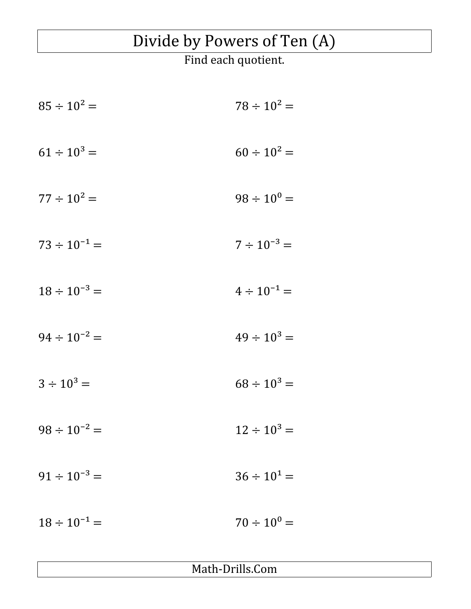## Divide by Powers of Ten (A)

Find each quotient.

 $85 \div 10^2 = 78 \div 10^2 =$  $61 \div 10^{3} =$   $60 \div 10^{2} =$  $77 \div 10^{2} = 98 \div 10^{0} =$  $73 \div 10^{-1} = 7 \div 10^{-3} =$  $18 \div 10^{-3} = 4 \div 10^{-1} =$  $94 \div 10^{-2} =$   $49 \div 10^{3} =$  $3 \div 10^{3} = 68 \div 10^{3} =$  $98 \div 10^{-2} = 12 \div 10^{3} =$  $91 \div 10^{-3} = 36 \div 10^{1} =$  $18 \div 10^{-1} = 70 \div 10^{0} =$